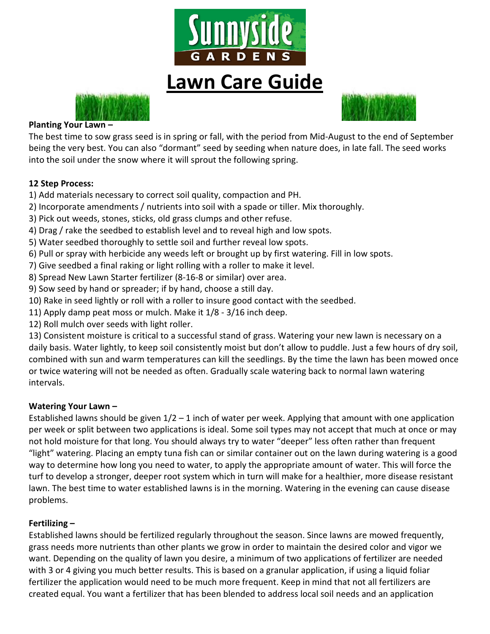

# **Lawn Care Guide**





#### **Planting Your Lawn –**

The best time to sow grass seed is in spring or fall, with the period from Mid-August to the end of September being the very best. You can also "dormant" seed by seeding when nature does, in late fall. The seed works into the soil under the snow where it will sprout the following spring.

#### **12 Step Process:**

- 1) Add materials necessary to correct soil quality, compaction and PH.
- 2) Incorporate amendments / nutrients into soil with a spade or tiller. Mix thoroughly.
- 3) Pick out weeds, stones, sticks, old grass clumps and other refuse.
- 4) Drag / rake the seedbed to establish level and to reveal high and low spots.
- 5) Water seedbed thoroughly to settle soil and further reveal low spots.
- 6) Pull or spray with herbicide any weeds left or brought up by first watering. Fill in low spots.
- 7) Give seedbed a final raking or light rolling with a roller to make it level.
- 8) Spread New Lawn Starter fertilizer (8-16-8 or similar) over area.
- 9) Sow seed by hand or spreader; if by hand, choose a still day.
- 10) Rake in seed lightly or roll with a roller to insure good contact with the seedbed.
- 11) Apply damp peat moss or mulch. Make it 1/8 3/16 inch deep.
- 12) Roll mulch over seeds with light roller.

13) Consistent moisture is critical to a successful stand of grass. Watering your new lawn is necessary on a daily basis. Water lightly, to keep soil consistently moist but don't allow to puddle. Just a few hours of dry soil, combined with sun and warm temperatures can kill the seedlings. By the time the lawn has been mowed once or twice watering will not be needed as often. Gradually scale watering back to normal lawn watering intervals.

#### **Watering Your Lawn –**

Established lawns should be given  $1/2 - 1$  inch of water per week. Applying that amount with one application per week or split between two applications is ideal. Some soil types may not accept that much at once or may not hold moisture for that long. You should always try to water "deeper" less often rather than frequent "light" watering. Placing an empty tuna fish can or similar container out on the lawn during watering is a good way to determine how long you need to water, to apply the appropriate amount of water. This will force the turf to develop a stronger, deeper root system which in turn will make for a healthier, more disease resistant lawn. The best time to water established lawns is in the morning. Watering in the evening can cause disease problems.

#### **Fertilizing –**

Established lawns should be fertilized regularly throughout the season. Since lawns are mowed frequently, grass needs more nutrients than other plants we grow in order to maintain the desired color and vigor we want. Depending on the quality of lawn you desire, a minimum of two applications of fertilizer are needed with 3 or 4 giving you much better results. This is based on a granular application, if using a liquid foliar fertilizer the application would need to be much more frequent. Keep in mind that not all fertilizers are created equal. You want a fertilizer that has been blended to address local soil needs and an application